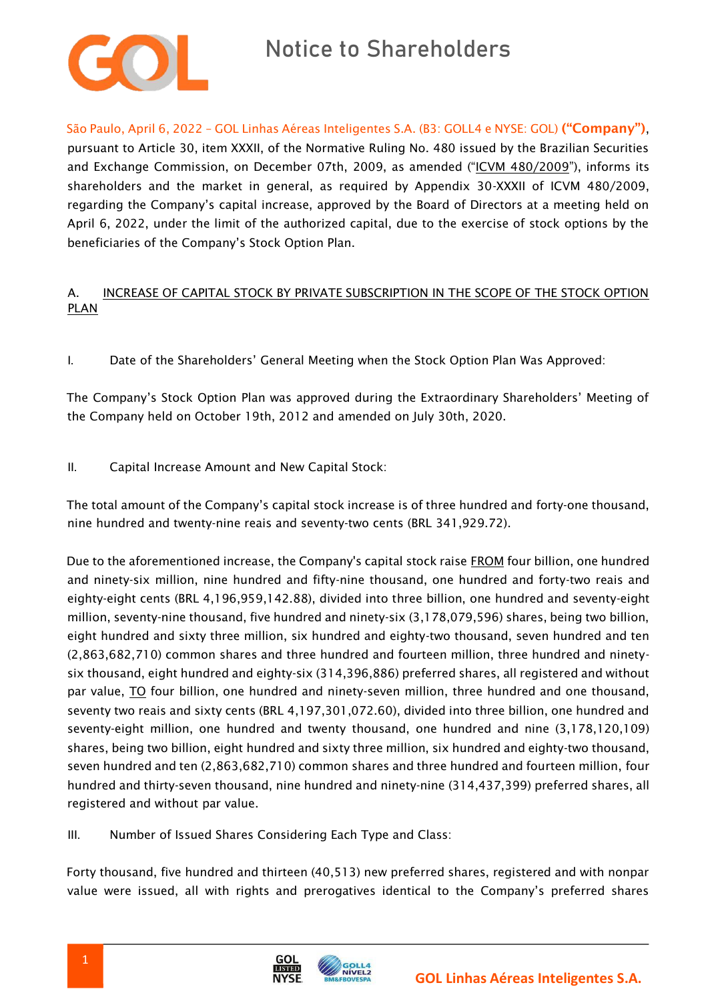

São Paulo, April 6, 2022 – GOL Linhas Aéreas Inteligentes S.A. (B3: GOLL4 e NYSE: GOL) ("Company"), pursuant to Article 30, item XXXII, of the Normative Ruling No. 480 issued by the Brazilian Securities and Exchange Commission, on December 07th, 2009, as amended ("ICVM 480/2009"), informs its shareholders and the market in general, as required by Appendix 30-XXXII of ICVM 480/2009, regarding the Company's capital increase, approved by the Board of Directors at a meeting held on April 6, 2022, under the limit of the authorized capital, due to the exercise of stock options by the beneficiaries of the Company's Stock Option Plan.

## A. INCREASE OF CAPITAL STOCK BY PRIVATE SUBSCRIPTION IN THE SCOPE OF THE STOCK OPTION PLAN

I. Date of the Shareholders' General Meeting when the Stock Option Plan Was Approved:

The Company's Stock Option Plan was approved during the Extraordinary Shareholders' Meeting of the Company held on October 19th, 2012 and amended on July 30th, 2020.

II. Capital Increase Amount and New Capital Stock:

The total amount of the Company's capital stock increase is of three hundred and forty-one thousand, nine hundred and twenty-nine reais and seventy-two cents (BRL 341,929.72).

Due to the aforementioned increase, the Company's capital stock raise FROM four billion, one hundred and ninety-six million, nine hundred and fifty-nine thousand, one hundred and forty-two reais and eighty-eight cents (BRL 4,196,959,142.88), divided into three billion, one hundred and seventy-eight million, seventy-nine thousand, five hundred and ninety-six (3,178,079,596) shares, being two billion, eight hundred and sixty three million, six hundred and eighty-two thousand, seven hundred and ten (2,863,682,710) common shares and three hundred and fourteen million, three hundred and ninetysix thousand, eight hundred and eighty-six (314,396,886) preferred shares, all registered and without par value, TO four billion, one hundred and ninety-seven million, three hundred and one thousand, seventy two reais and sixty cents (BRL 4,197,301,072.60), divided into three billion, one hundred and seventy-eight million, one hundred and twenty thousand, one hundred and nine (3,178,120,109) shares, being two billion, eight hundred and sixty three million, six hundred and eighty-two thousand, seven hundred and ten (2,863,682,710) common shares and three hundred and fourteen million, four hundred and thirty-seven thousand, nine hundred and ninety-nine (314,437,399) preferred shares, all registered and without par value.

III. Number of Issued Shares Considering Each Type and Class:

Forty thousand, five hundred and thirteen (40,513) new preferred shares, registered and with nonpar value were issued, all with rights and prerogatives identical to the Company's preferred shares

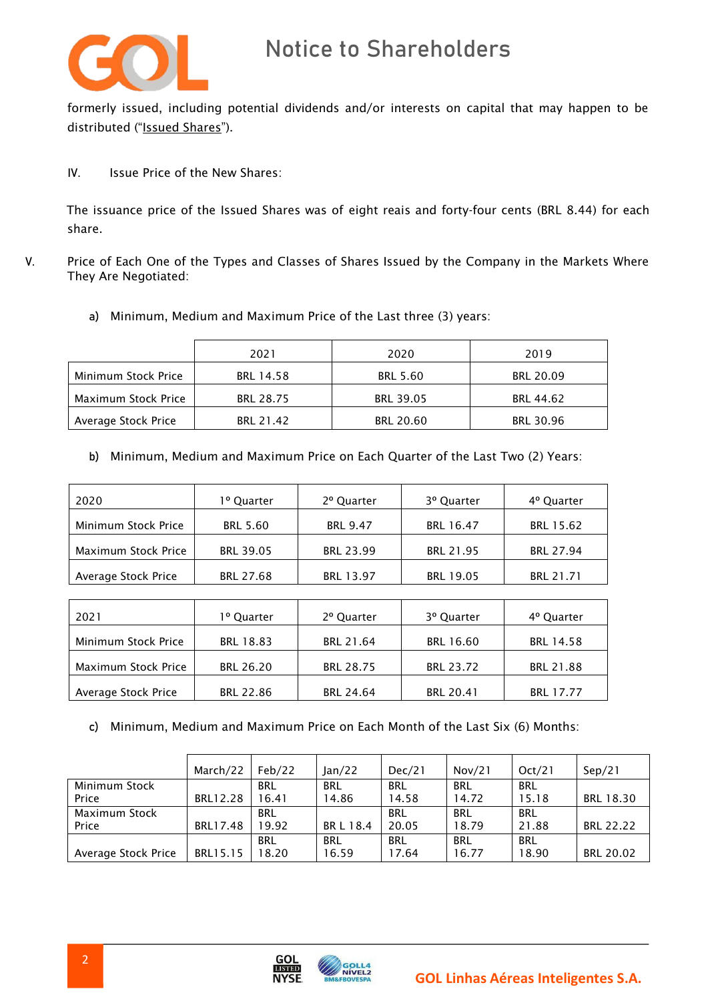

formerly issued, including potential dividends and/or interests on capital that may happen to be distributed ("Issued Shares").

IV. Issue Price of the New Shares:

The issuance price of the Issued Shares was of eight reais and forty-four cents (BRL 8.44) for each share.

- V. Price of Each One of the Types and Classes of Shares Issued by the Company in the Markets Where They Are Negotiated:
	- a) Minimum, Medium and Maximum Price of the Last three (3) years:

|                     | 2021      | 2020             | 2019             |
|---------------------|-----------|------------------|------------------|
| Minimum Stock Price | BRL 14.58 | <b>BRL 5.60</b>  | <b>BRL 20.09</b> |
| Maximum Stock Price | BRL 28.75 | <b>BRL 39.05</b> | <b>BRL 44.62</b> |
| Average Stock Price | BRL 21.42 | <b>BRL 20.60</b> | <b>BRL 30.96</b> |

b) Minimum, Medium and Maximum Price on Each Quarter of the Last Two (2) Years:

| 2020                | 1º Quarter       | 2º Quarter      | 3º Quarter       | 4º Quarter |
|---------------------|------------------|-----------------|------------------|------------|
| Minimum Stock Price | <b>BRL 5.60</b>  | <b>BRL 9.47</b> | BRL 16.47        | BRL 15.62  |
| Maximum Stock Price | <b>BRL 39.05</b> | BRL 23.99       | BRL 21.95        | BRL 27.94  |
| Average Stock Price | BRL 27.68        | BRL 13.97       | <b>BRL 19.05</b> | BRL 21.71  |

| 2021                | 1º Quarter | 2º Quarter       | 3º Quarter | 4º Quarter       |
|---------------------|------------|------------------|------------|------------------|
| Minimum Stock Price | BRL 18.83  | BRL 21.64        | BRL 16.60  | <b>BRL 14.58</b> |
| Maximum Stock Price | BRL 26.20  | <b>BRL 28.75</b> | BRL 23.72  | BRL 21.88        |
| Average Stock Price | BRL 22.86  | <b>BRL 24.64</b> | BRL 20.41  | BRL 17.77        |

c) Minimum, Medium and Maximum Price on Each Month of the Last Six (6) Months:

|                     | March/22 | Feb/22     | lan/22     | Dec/21     | Nov/21     | Oct/21     | Sep/21           |
|---------------------|----------|------------|------------|------------|------------|------------|------------------|
| Minimum Stock       |          | <b>BRL</b> | <b>BRL</b> | <b>BRL</b> | <b>BRL</b> | <b>BRL</b> |                  |
| Price               | BRL12.28 | 16.41      | 14.86      | 14.58      | 14.72      | 15.18      | BRL 18.30        |
| Maximum Stock       |          | <b>BRL</b> |            | BRL        | BRL        | <b>BRL</b> |                  |
| Price               | BRL17.48 | 19.92      | BR L 18.4  | 20.05      | 18.79      | 21.88      | <b>BRL 22.22</b> |
|                     |          | <b>BRL</b> | <b>BRL</b> | <b>BRL</b> | <b>BRL</b> | <b>BRL</b> |                  |
| Average Stock Price | BRL15.15 | 18.20      | 16.59      | 17.64      | 16.77      | 18.90      | <b>BRL 20.02</b> |